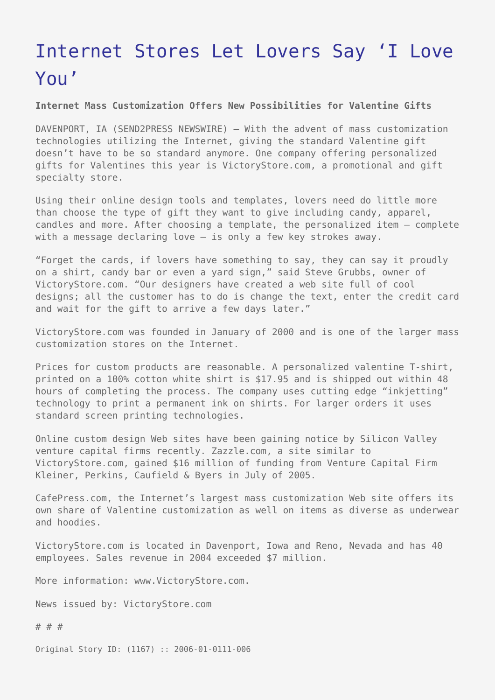## [Internet Stores Let Lovers Say 'I Love](https://www.send2press.com/wire/2006-01-0111-006/) [You'](https://www.send2press.com/wire/2006-01-0111-006/)

**Internet Mass Customization Offers New Possibilities for Valentine Gifts**

DAVENPORT, IA (SEND2PRESS NEWSWIRE) — With the advent of mass customization technologies utilizing the Internet, giving the standard Valentine gift doesn't have to be so standard anymore. One company offering personalized gifts for Valentines this year is VictoryStore.com, a promotional and gift specialty store.

Using their online design tools and templates, lovers need do little more than choose the type of gift they want to give including candy, apparel, candles and more. After choosing a template, the personalized item – complete with a message declaring love – is only a few key strokes away.

"Forget the cards, if lovers have something to say, they can say it proudly on a shirt, candy bar or even a yard sign," said Steve Grubbs, owner of VictoryStore.com. "Our designers have created a web site full of cool designs; all the customer has to do is change the text, enter the credit card and wait for the gift to arrive a few days later."

VictoryStore.com was founded in January of 2000 and is one of the larger mass customization stores on the Internet.

Prices for custom products are reasonable. A personalized valentine T-shirt, printed on a 100% cotton white shirt is \$17.95 and is shipped out within 48 hours of completing the process. The company uses cutting edge "inkjetting" technology to print a permanent ink on shirts. For larger orders it uses standard screen printing technologies.

Online custom design Web sites have been gaining notice by Silicon Valley venture capital firms recently. Zazzle.com, a site similar to VictoryStore.com, gained \$16 million of funding from Venture Capital Firm Kleiner, Perkins, Caufield & Byers in July of 2005.

CafePress.com, the Internet's largest mass customization Web site offers its own share of Valentine customization as well on items as diverse as underwear and hoodies.

VictoryStore.com is located in Davenport, Iowa and Reno, Nevada and has 40 employees. Sales revenue in 2004 exceeded \$7 million.

More information: www.VictoryStore.com.

News issued by: VictoryStore.com

# # #

Original Story ID: (1167) :: 2006-01-0111-006